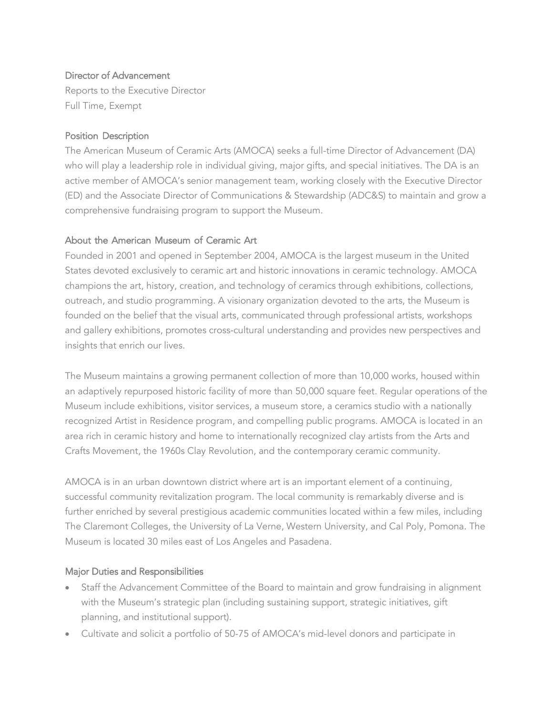### Director of Advancement

Reports to the Executive Director Full Time, Exempt

### Position Description

The American Museum of Ceramic Arts (AMOCA) seeks a full-time Director of Advancement (DA) who will play a leadership role in individual giving, major gifts, and special initiatives. The DA is an active member of AMOCA's senior management team, working closely with the Executive Director (ED) and the Associate Director of Communications & Stewardship (ADC&S) to maintain and grow a comprehensive fundraising program to support the Museum.

## About the American Museum of Ceramic Art

Founded in 2001 and opened in September 2004, AMOCA is the largest museum in the United States devoted exclusively to ceramic art and historic innovations in ceramic technology. AMOCA champions the art, history, creation, and technology of ceramics through exhibitions, collections, outreach, and studio programming. A visionary organization devoted to the arts, the Museum is founded on the belief that the visual arts, communicated through professional artists, workshops and gallery exhibitions, promotes cross-cultural understanding and provides new perspectives and insights that enrich our lives.

The Museum maintains a growing permanent collection of more than 10,000 works, housed within an adaptively repurposed historic facility of more than 50,000 square feet. Regular operations of the Museum include exhibitions, visitor services, a museum store, a ceramics studio with a nationally recognized Artist in Residence program, and compelling public programs. AMOCA is located in an area rich in ceramic history and home to internationally recognized clay artists from the Arts and Crafts Movement, the 1960s Clay Revolution, and the contemporary ceramic community.

AMOCA is in an urban downtown district where art is an important element of a continuing, successful community revitalization program. The local community is remarkably diverse and is further enriched by several prestigious academic communities located within a few miles, including The Claremont Colleges, the University of La Verne, Western University, and Cal Poly, Pomona. The Museum is located 30 miles east of Los Angeles and Pasadena.

## Major Duties and Responsibilities

- Staff the Advancement Committee of the Board to maintain and grow fundraising in alignment with the Museum's strategic plan (including sustaining support, strategic initiatives, gift planning, and institutional support).
- Cultivate and solicit a portfolio of 50-75 of AMOCA's mid-level donors and participate in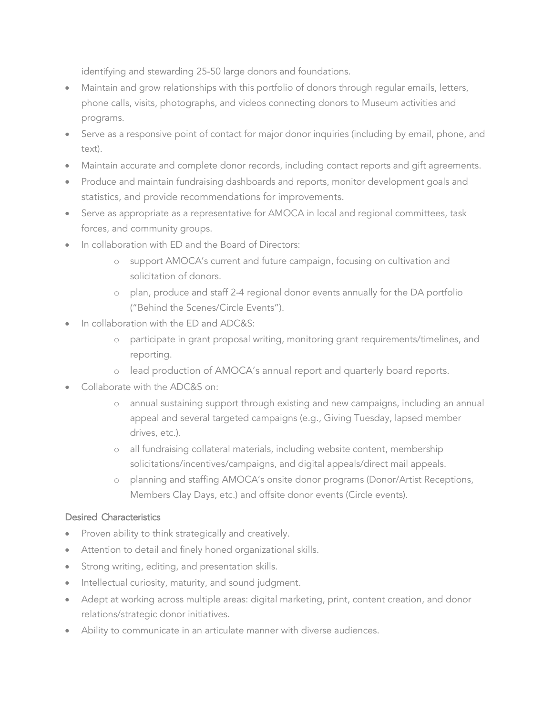identifying and stewarding 25-50 large donors and foundations.

- Maintain and grow relationships with this portfolio of donors through regular emails, letters, phone calls, visits, photographs, and videos connecting donors to Museum activities and programs.
- Serve as a responsive point of contact for major donor inquiries (including by email, phone, and text).
- Maintain accurate and complete donor records, including contact reports and gift agreements.
- Produce and maintain fundraising dashboards and reports, monitor development goals and statistics, and provide recommendations for improvements.
- Serve as appropriate as a representative for AMOCA in local and regional committees, task forces, and community groups.
- In collaboration with ED and the Board of Directors:
	- o support AMOCA's current and future campaign, focusing on cultivation and solicitation of donors.
	- o plan, produce and staff 2-4 regional donor events annually for the DA portfolio ("Behind the Scenes/Circle Events").
- In collaboration with the ED and ADC&S:
	- o participate in grant proposal writing, monitoring grant requirements/timelines, and reporting.
	- o lead production of AMOCA's annual report and quarterly board reports.
- Collaborate with the ADC&S on:
	- o annual sustaining support through existing and new campaigns, including an annual appeal and several targeted campaigns (e.g., Giving Tuesday, lapsed member drives, etc.).
	- o all fundraising collateral materials, including website content, membership solicitations/incentives/campaigns, and digital appeals/direct mail appeals.
	- o planning and staffing AMOCA's onsite donor programs (Donor/Artist Receptions, Members Clay Days, etc.) and offsite donor events (Circle events).

## Desired Characteristics

- Proven ability to think strategically and creatively.
- Attention to detail and finely honed organizational skills.
- Strong writing, editing, and presentation skills.
- Intellectual curiosity, maturity, and sound judgment.
- Adept at working across multiple areas: digital marketing, print, content creation, and donor relations/strategic donor initiatives.
- Ability to communicate in an articulate manner with diverse audiences.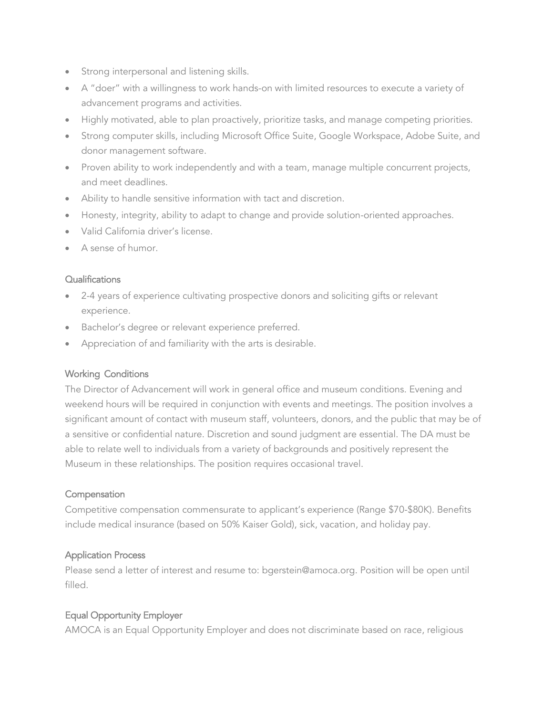- Strong interpersonal and listening skills.
- A "doer" with a willingness to work hands-on with limited resources to execute a variety of advancement programs and activities.
- Highly motivated, able to plan proactively, prioritize tasks, and manage competing priorities.
- Strong computer skills, including Microsoft Office Suite, Google Workspace, Adobe Suite, and donor management software.
- Proven ability to work independently and with a team, manage multiple concurrent projects, and meet deadlines.
- Ability to handle sensitive information with tact and discretion.
- Honesty, integrity, ability to adapt to change and provide solution-oriented approaches.
- Valid California driver's license.
- A sense of humor.

## **Qualifications**

- 2-4 years of experience cultivating prospective donors and soliciting gifts or relevant experience.
- Bachelor's degree or relevant experience preferred.
- Appreciation of and familiarity with the arts is desirable.

# Working Conditions

The Director of Advancement will work in general office and museum conditions. Evening and weekend hours will be required in conjunction with events and meetings. The position involves a significant amount of contact with museum staff, volunteers, donors, and the public that may be of a sensitive or confidential nature. Discretion and sound judgment are essential. The DA must be able to relate well to individuals from a variety of backgrounds and positively represent the Museum in these relationships. The position requires occasional travel.

## **Compensation**

Competitive compensation commensurate to applicant's experience (Range \$70-\$80K). Benefits include medical insurance (based on 50% Kaiser Gold), sick, vacation, and holiday pay.

# Application Process

Please send a letter of interest and resume to: [bgerstein@amoca.org.](mailto:bgerstein@amoca.org) Position will be open until filled.

# Equal Opportunity Employer

AMOCA is an Equal Opportunity Employer and does not discriminate based on race, religious